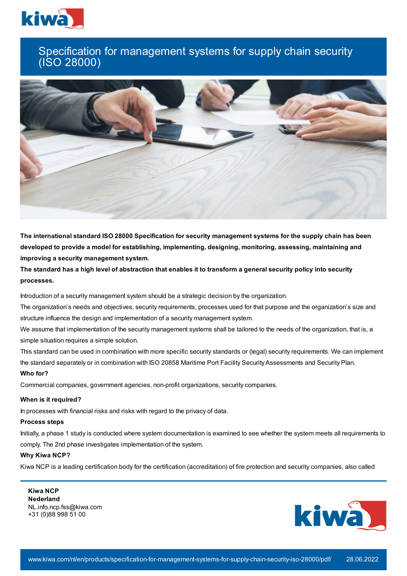

## Specification for management systems for supply chain security (ISO 28000)



**The international standard ISO 28000 Specification for security management systems for the supply chain has been developed to provide a model for establishing, implementing, designing, monitoring, assessing, maintaining and improving a security management system.**

The standard has a high level of abstraction that enables it to transform a general security policy into security **processes.**

Introduction of a security management system should be a strategic decision by the organization.

The organization's needs and objectives, security requirements, processes used for that purpose and the organization's size and structure influence the design and implementation of a security management system.

We assume that implementation of the security management systems shall be tailored to the needs of the organization, that is, a simple situation requires a simple solution.

This standard can be used in combination with more specific security standards or (legal) security requirements. We can implement the standard separately or in combination with ISO 20858 Maritime Port Facility Security Assessments and Security Plan. **Who for?**

Commercial companies, government agencies, non-profit organizations, security companies.

## **When is it required?**

In processes with financial risks and risks with regard to the privacy of data.

## **Process steps**

Initially, a phase 1 study is conducted where system documentation is examined to see whether the system meets all requirements to comply. The 2nd phase investigates implementation of the system.

## **Why Kiwa NCP?**

Kiwa NCP is a leading certification body for the certification (accreditation) of fire protection and security companies, also called

**Kiwa NCP Nederland** NL.info.ncp.fss@kiwa.com +31 (0)88 998 51 00